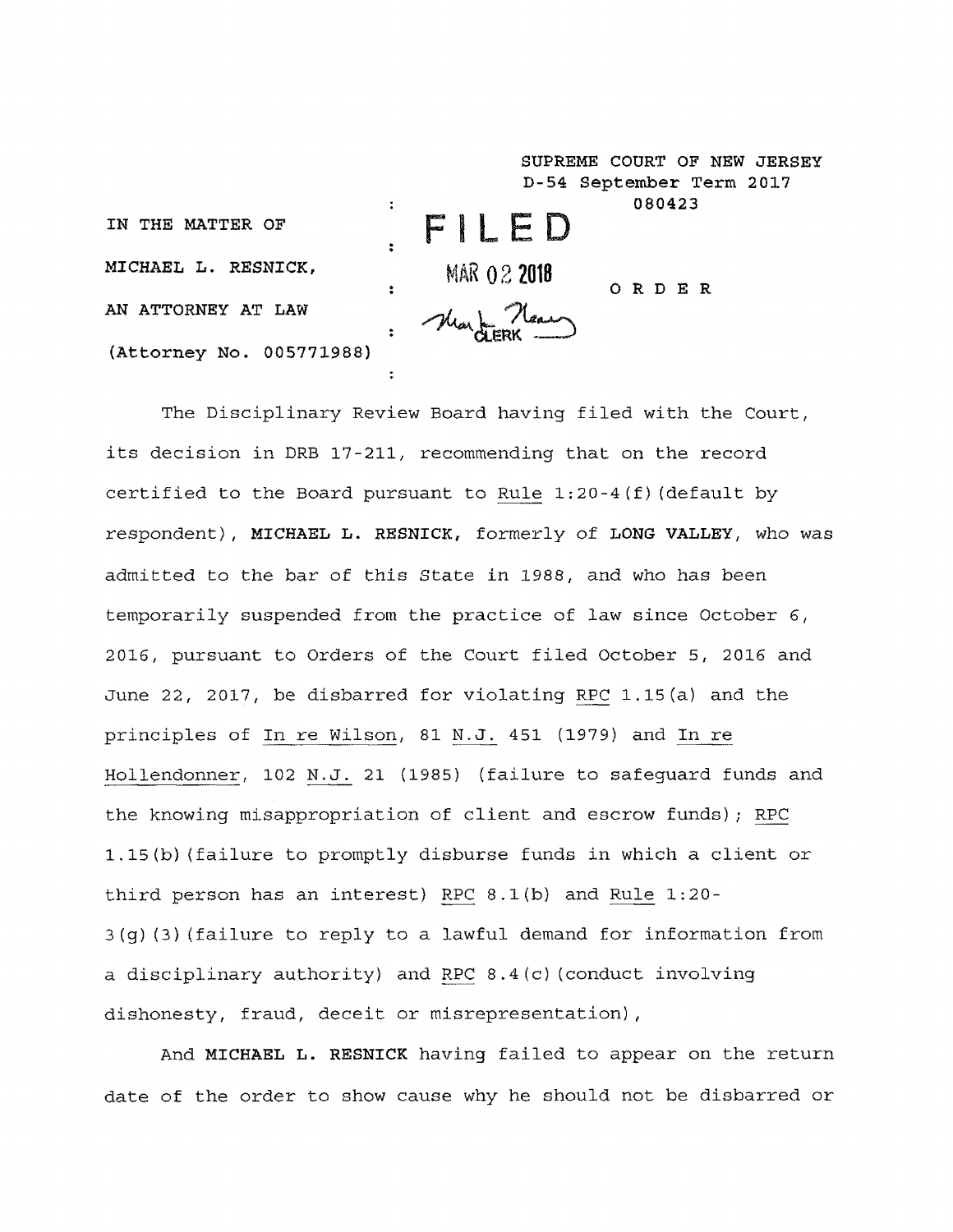**SUPREME COURT OF NEW JERSEY D-54 September Term 2017 080423 F LED IN THE MATTER OF MICHAEL L. RESNICK,** MAR 02 2018 **ORDER**  $\ddot{\phantom{a}}$ **AN ATTORNEY AT LAW (Attorney** No. 005771988)  $\ddot{\cdot}$ 

The Disciplinary Review Board having filed with the Court, its decision in DRB 17-211, recommending that on the record certified to the Board pursuant to Rule  $1:20-4(f)$  (default by respondent), MICHAEL L. RESNICK, formerly of LONG VALLEY, who was admitted to the bar of this State in 1988, and who has been temporarily suspended from the practice of law since October 6, 2016, pursuant to Orders of the Court filed October 5, 2016 and June 22, 2017, be disbarred for violating RPC 1.15(a) and the principles of In re Wilson, 81 N.J. 451 (1979) and In re Hollendonner, 102 N.J. 21 (1985) (failure to safeguard funds and the knowing misappropriation of client and escrow funds); RPC 1.15(b) (failure to promptly disburse funds in which a client or third person has an interest) RPC 8.1(b) and Rule 1:20- 3(g) (3) (failure to reply to a lawful demand for information from a disciplinary authority) and RPC 8.4(c) (conduct involving dishonesty, fraud, deceit or misrepresentation),

And MICHAEL L. RESNICK having failed to appear on the return date of the order to show cause why he should not be disbarred or